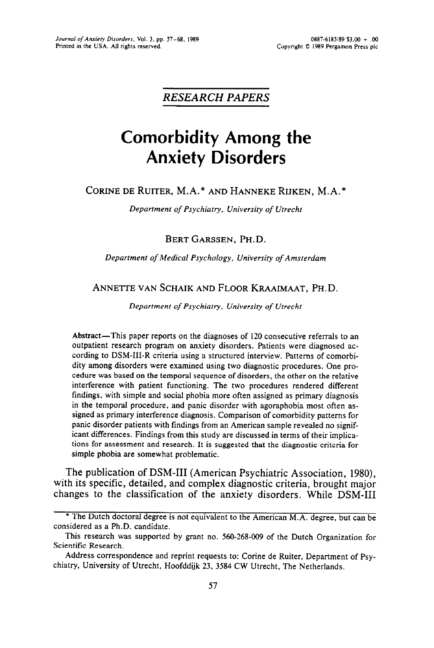## **RESEARCH PAPERS**

# **Comorbidity Among the Anxiety Disorders**

#### **CORINE** DE RUITER, M.A.\* AND HANNEKE RIJKEN, M.A.\*

*Department of Psychiatry, University of Urrechr* 

#### BERT GARSSEN, PH.D.

*Department of Medical Psychology, University of Amsterdam* 

#### ANNETTE VAN SCHAIK AND FLOOR KRAAIMAAT, PH.D.

*Department of Psychiatry, University of Utrecht* 

Abstract-This paper reports on the diagnoses of 120 consecutive referrals to an outpatient research program on anxiety disorders. Patients were diagnosed according to DSM-III-R criteria using a structured interview. Patterns of comorbidity among disorders were examined using two diagnostic procedures. One procedure was based on the temporal sequence of disorders, the other on the relative interference with patient functioning. The two procedures rendered different findings, with simple and social phobia more often assigned as primary diagnosis in the temporal procedure, and panic disorder with agoraphobia most often assigned as primary interference diagnosis. Comparison of comorbidity patterns for panic disorder patients with findings from an American sample revealed no significant differences. Findings from this study are **discussed** in terms of their implications for assessment and research. It is suggested that the diagnostic criteria for simple phobia are somewhat problematic.

The publication of DSM-III (American Psychiatric Association, 1980), with its specific, detailed, and complex diagnostic criteria, brought major changes to the classification of the anxiety disorders. While DSM-III

<sup>\*</sup> The Dutch doctoral degree is not equivalent to the American M.A. degree, but can be considered as a Ph.D. candidate.

This research was supported by grant no. 560-268-009 of the Dutch Organization for Scientific Research.

Address correspondence and reprint requests to: Corine de Ruiter, Department of Psychiatry, University of Utrecht, Hoofddijk 23, 3584 CW Utrecht, The Netherlands.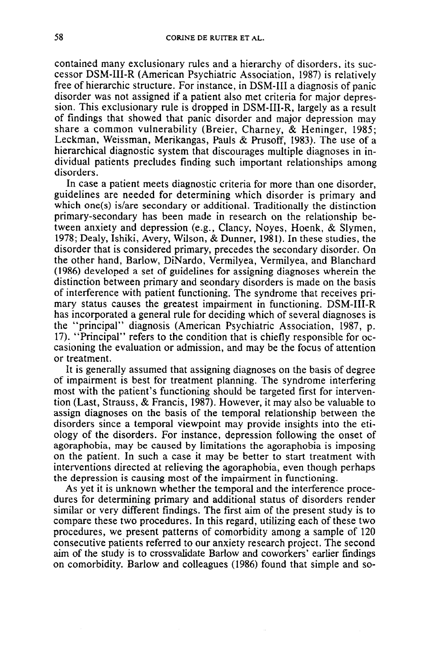contained many exclusionary rules and a hierarchy of disorders, its successor DSM-III-R (American Psychiatric Association, 1987) is relatively free of hierarchic structure. For instance, in DSM-III a diagnosis of panic disorder was not assigned if a patient also met criteria for major depression. This exclusionary rule is dropped in DSM-III-R, largely as a result of findings that showed that panic disorder and major depression may share a common vulnerability (Breier, Charney, & Heninger, 1985; Leckman, Weissman, Merikangas, Pauls & Prusoff, 1983). The use of a hierarchical diagnostic system that discourages multiple diagnoses in individual patients precludes finding such important relationships among disorders.

In case a patient meets diagnostic criteria for more than one disorder, guidelines are needed for determining which disorder is primary and which one(s) is/are secondary or additional. Traditionally the distinction primary-secondary has been made in research on the relationship between anxiety and depression (e.g., Clancy, Noyes, Hoenk, & Slymen, 1978; Dealy, Ishiki, Avery, Wilson, & Dunner, 1981). In these studies, the disorder that is considered primary, precedes the secondary disorder. On the other hand, Barlow, DiNardo, Vermilyea, Vermilyea, and Blanchard (1986) developed a set of guidelines for assigning diagnoses wherein the distinction between primary and seondary disorders is made on the basis of interference with patient functioning. The syndrome that receives primary status causes the greatest impairment in functioning. DSM-III-R has incorporated a general rule for deciding which of several diagnoses is the "principal" diagnosis (American Psychiatric Association, 1987, p. 17). "Principal" refers to the condition that is chiefly responsible for occasioning the evaluation or admission, and may be the focus of attention or treatment.

It is generally assumed that assigning diagnoses on the basis of degree of impairment is best for treatment planning. The syndrome interfering most with the patient's functioning should be targeted first for intervention (Last, Strauss, & Francis, 1987). However, it may also be valuable to assign diagnoses on the basis of the temporal relationship between the disorders since a temporal viewpoint may provide insights into the etiology of the disorders. For instance, depression following the onset of agoraphobia, may be caused by limitations the agoraphobia is imposing on the patient. In such a case it may be better to start treatment with interventions directed at relieving the agoraphobia, even though perhaps the depression is causing most of the impairment in functioning.

As yet it is unknown whether the temporal and the interference procedures for determining primary and additional status of disorders render similar or very different findings. The first aim of the present study is to compare these two procedures. In this regard, utilizing each of these two procedures, we present patterns of comorbidity among a sample of 120 consecutive patients referred to our anxiety research project. The second aim of the study is to crossvalidate Barlow and coworkers' earlier findings on comorbidity. Barlow and colleagues (1986) found that simple and so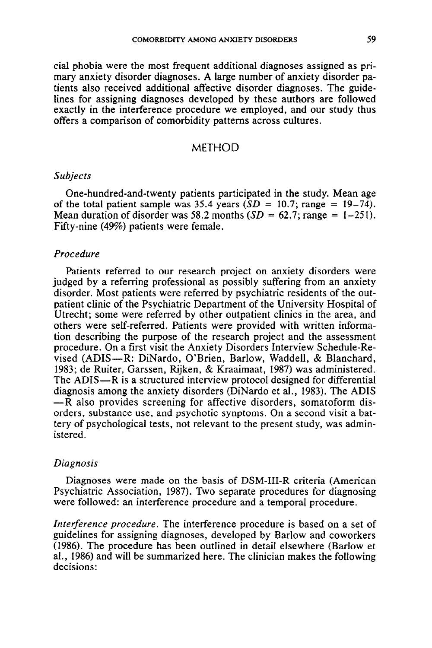cial phobia were the most frequent additional diagnoses assigned as primary anxiety disorder diagnoses. A large number of anxiety disorder patients also received additional affective disorder diagnoses. The guidelines for assigning diagnoses developed by these authors are followed exactly in the interference procedure we employed, and our study thus offers a comparison of comorbidity patterns across cultures.

#### METHOD

#### *Subjects*

One-hundred-and-twenty patients participated in the study. Mean age of the total patient sample was 35.4 years  $(SD = 10.7; \text{range} = 19-74)$ . Mean duration of disorder was 58.2 months  $(SD = 62.7; \text{range} = 1-251)$ . Fifty-nine (49%) patients were female.

#### *Procedure*

Patients referred to our research project on anxiety disorders were judged by a referring professional as possibly suffering from an anxiety disorder. Most patients were referred by psychiatric residents of the outpatient clinic of the Psychiatric Department of the University Hospital of Utrecht; some were referred by other outpatient clinics in the area, and others were self-referred. Patients were provided with written information describing the purpose of the research project and the assessment procedure. On a first visit the Anxiety Disorders Interview Schedule-Revised (ADIS-R: DiNardo, O'Brien, Barlow, Waddell, & Blanchard, 1983; de Ruiter, Garssen, Rijken, & Kraaimaat, 1987) was administered. The ADIS—R is a structured interview protocol designed for differential diagnosis among the anxiety disorders (DiNardo et al., 1983). The ADIS  $-R$  also provides screening for affective disorders, somatoform disorders, substance use, and psychotic synptoms. On a second visit a battery of psychological tests, not relevant to the present study, was administered.

#### *Diagnosis*

Diagnoses were made on the basis of DSM-III-R criteria (American Psychiatric Association, 1987). Two separate procedures for diagnosing were followed: an interference procedure and a temporal procedure.

*Interference procedure.* The interference procedure is based on a set of guidelines for assigning diagnoses, developed by Barlow and coworkers (1986). The procedure has been outlined in detail elsewhere (Barlow et al., 1986) and will be summarized here. The clinician makes the following decisions: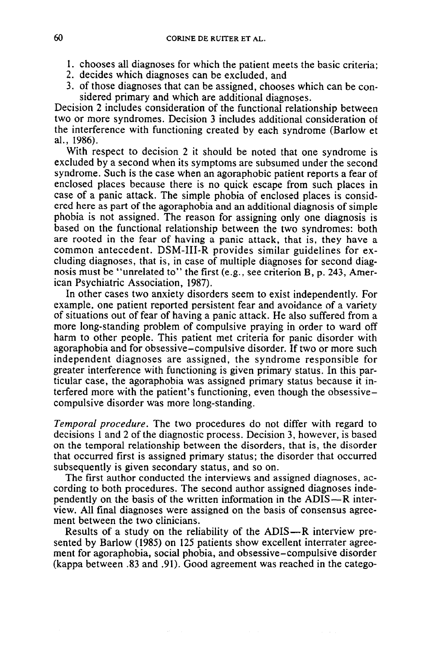- 1. chooses all diagnoses for which the patient meets the basic criteria;
- 2. decides which diagnoses can be excluded, and
- 3. of those diagnoses that can be assigned, chooses which can be considered primary and which are additional diagnoses.

Decision 2 includes consideration of the functional relationship between two or more syndromes. Decision 3 includes additional consideration of the interference with functioning created by each syndrome (Barlow et al., 1986).

With respect to decision 2 it should be noted that one syndrome is excluded by a second when its symptoms are subsumed under the second syndrome. Such is the case when an agoraphobic patient reports a fear of enclosed places because there is no quick escape from such places in case of a panic attack. The simple phobia of enclosed places is considered here as part of the agoraphobia and an additional diagnosis of simple phobia is not assigned. The reason for assigning only one diagnosis is based on the functional relationship between the two syndromes: both are rooted in the fear of having a panic attack, that is, they have a common antecedent. DSM-III-R provides similar guidelines for excluding diagnoses, that is, in case of multiple diagnoses for second diagnosis must be "unrelated to" the first (e.g., see criterion B, p. 243, American Psychiatric Association, 1987).

In other cases two anxiety disorders seem to exist independently. For example, one patient reported persistent fear and avoidance of a variety of situations out of fear of having a panic attack. He also suffered from a more long-standing problem of compulsive praying in order to ward off harm to other people. This patient met criteria for panic disorder with agoraphobia and for obsessive-compulsive disorder. If two or more such independent diagnoses are assigned, the syndrome responsible for greater interference with functioning is given primary status. In this particular case, the agoraphobia was assigned primary status because it interfered more with the patient's functioning, even though the obsessivecompulsive disorder was more long-standing.

*Temporal procedure.* The two procedures do not differ with regard to decisions 1 and 2 of the diagnostic process. Decision 3, however, is based on the temporal relationship between the disorders, that is, the disorder that occurred first is assigned primary status; the disorder that occurred subsequently is given secondary status, and so on.

The first author conducted the interviews and assigned diagnoses, according to both procedures. The second author assigned diagnoses independently on the basis of the written information in the ADIS—R interview. AI1 final diagnoses were assigned on the basis of consensus agreement between the two clinicians.

Results of a study on the reliability of the ADIS—R interview presented by Barlow (1985) on 125 patients show excellent interrater agreement for agoraphobia, social phobia, and obsessive-compulsive disorder (kappa between .83 and .91). Good agreement was reached in the catego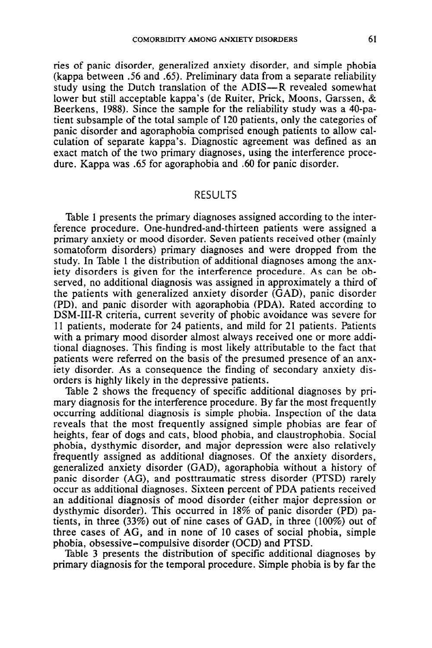ries of panic disorder, generalized anxiety disorder, and simple phobia (kappa between .56 and .65). Preliminary data from a separate reliability study using the Dutch translation of the ADIS—R revealed somewhat lower but still acceptable kappa's (de Ruiter, Prick, Moons, Garssen, & Beerkens, 1988). Since the sample for the reliability study was a 40-patient subsample of the total sample of 120 patients, only the categories of panic disorder and agoraphobia comprised enough patients to allow calculation of separate kappa's. Diagnostic agreement was defined as an exact match of the two primary diagnoses, using the interference procedure. Kappa was .65 for agoraphobia and .60 for panic disorder.

#### RESULTS

Table 1 presents the primary diagnoses assigned according to the interference procedure. One-hundred-and-thirteen patients were assigned a primary anxiety or mood disorder. Seven patients received other (mainly somatoform disorders) primary diagnoses and were dropped from the study. In Table 1 the distribution of additional diagnoses among the anxiety disorders is given for the interference procedure. As can be observed, no additional diagnosis was assigned in approximately a third of the patients with generalized anxiety disorder (GAD), panic disorder (PD), and panic disorder with agoraphobia (PDA). Rated according to DSM-III-R criteria, current severity of phobic avoidance was severe for 11 patients, moderate for 24 patients, and mild for 21 patients. Patients with a primary mood disorder almost always received one or more additional diagnoses. This finding is most likely attributable to the fact that patients were referred on the basis of the presumed presence of an anxiety disorder. As a consequence the finding of secondary anxiety disorders is highly likely in the depressive patients.

Table 2 shows the frequency of specific additional diagnoses by primary diagnosis for the interference procedure. By far the most frequently occurring additional diagnosis is simple phobia. Inspection of the data reveals that the most frequently assigned simple phobias are fear of heights, fear of dogs and cats, blood phobia, and claustrophobia. Social phobia, dysthymic disorder, and major depression were also relatively frequently assigned as additional diagnoses. Of the anxiety disorders, generalized anxiety disorder (GAD), agoraphobia without a history of panic disorder (AG), and posttraumatic stress disorder (PTSD) rarely occur as additional diagnoses. Sixteen percent of PDA patients received an additional diagnosis of mood disorder (either major depression or dysthymic disorder). This occurred in 18% of panic disorder (PD) patients, in three (33%) out of nine cases of GAD, in three (100%) out of three cases of AG, and in none of 10 cases of social phobia, simple phobia, obsessive-compulsive disorder (OCD) and PTSD.

Table 3 presents the distribution of specific additional diagnoses by primary diagnosis for the temporal procedure. Simple phobia is by far the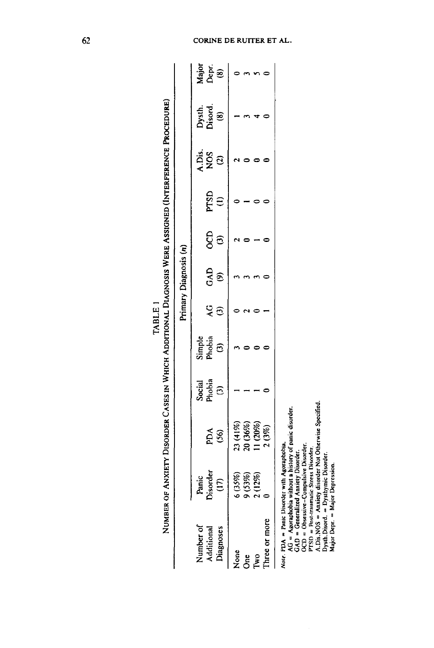| ଛି<br>Dysth.<br>Disord.<br>$\hat{e}$<br>A.Dis.<br><b>NOS</b><br>$\widehat{\mathbf{c}}$<br>PTSD<br>$\widehat{z}$<br>CCD<br>$\widehat{c}$<br>GAD<br>ම<br>Q<br>ම<br>Simple<br>Phobia<br>$\widehat{\mathbf{c}}$<br>Phobia<br>Social<br>$\widehat{\mathbf{c}}$<br>23 (41%)<br>20 (36%)<br>$(10\%)$<br>2(3%)<br>PDA<br>(56)<br>Disorder<br>6(35%)<br>9(53%)<br>2(12%)<br>Panic<br>ຸ<br>Three or more<br>Number of<br>Additional<br>Diagnoses<br>None<br>Two<br>One |  |  |  | Primary Diagnosis (n) |  |  |                |
|--------------------------------------------------------------------------------------------------------------------------------------------------------------------------------------------------------------------------------------------------------------------------------------------------------------------------------------------------------------------------------------------------------------------------------------------------------------|--|--|--|-----------------------|--|--|----------------|
|                                                                                                                                                                                                                                                                                                                                                                                                                                                              |  |  |  |                       |  |  | Major<br>Depr. |
|                                                                                                                                                                                                                                                                                                                                                                                                                                                              |  |  |  |                       |  |  |                |
|                                                                                                                                                                                                                                                                                                                                                                                                                                                              |  |  |  |                       |  |  |                |
|                                                                                                                                                                                                                                                                                                                                                                                                                                                              |  |  |  |                       |  |  |                |
|                                                                                                                                                                                                                                                                                                                                                                                                                                                              |  |  |  |                       |  |  |                |
|                                                                                                                                                                                                                                                                                                                                                                                                                                                              |  |  |  |                       |  |  |                |

TABLE 1<br>Ninued og Anviety Digorog Cases in Willou Additional I Diacoge Webb Assicued (Intern

 $62$ 

#### NE DE RUITER ET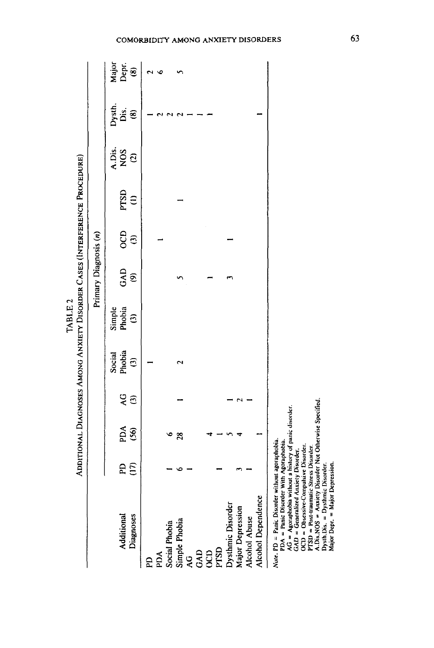|                                                                                                  |                  |                |        |                         |                                                                             | Primary Diagnosis (n)                       |               |              |                                           |                       |                          |
|--------------------------------------------------------------------------------------------------|------------------|----------------|--------|-------------------------|-----------------------------------------------------------------------------|---------------------------------------------|---------------|--------------|-------------------------------------------|-----------------------|--------------------------|
| Additional                                                                                       |                  |                |        | Social<br>Phobia<br>(3) | $\begin{array}{c} \text{Simple} \\ \text{Probia} \\ \text{(3)} \end{array}$ |                                             |               |              | $\frac{\text{A} \text{Dis.}}{\text{NOS}}$ | Dysth.<br>Dis.<br>(8) |                          |
| Diagnoses                                                                                        | E<br>C<br>C<br>C | $\mathbb{E}$ 8 | g<br>G |                         |                                                                             | $\begin{array}{c}\nGAD \\ (9)\n\end{array}$ | $\frac{1}{3}$ | $PSD$<br>(1) |                                           |                       | $Maj$ or<br>Dept.<br>(8) |
| £                                                                                                |                  |                |        |                         |                                                                             |                                             |               |              |                                           |                       |                          |
| PDA                                                                                              |                  |                |        |                         |                                                                             |                                             |               |              |                                           |                       |                          |
|                                                                                                  |                  |                |        |                         |                                                                             |                                             |               |              |                                           |                       |                          |
| Social Phobia<br>Simple Phobia<br>AG                                                             |                  | 28             |        |                         |                                                                             |                                             |               |              |                                           |                       |                          |
|                                                                                                  |                  |                |        |                         |                                                                             |                                             |               |              |                                           |                       |                          |
| GAD<br>OCD<br>PTSD<br>Dysthmic Disorder<br>Major Depression<br>Major Depression<br>Alcohol Abuse |                  |                |        |                         |                                                                             |                                             |               |              |                                           |                       |                          |
|                                                                                                  |                  |                |        |                         |                                                                             |                                             |               |              |                                           |                       |                          |
|                                                                                                  |                  |                |        |                         |                                                                             |                                             |               |              |                                           |                       |                          |
|                                                                                                  |                  |                |        |                         |                                                                             |                                             |               |              |                                           |                       |                          |
|                                                                                                  |                  |                |        |                         |                                                                             |                                             |               |              |                                           |                       |                          |
|                                                                                                  |                  |                |        |                         |                                                                             |                                             |               |              |                                           |                       |                          |
| <b>Alcohol Dependence</b>                                                                        |                  |                |        |                         |                                                                             |                                             |               |              |                                           |                       |                          |
| Note. PD = Panic Disorder without agoraphobia.                                                   |                  |                |        |                         |                                                                             |                                             |               |              |                                           |                       |                          |

**PDA = Panic Disorder Wilh Agoraphobia.** 

AG = Agoraphobia without a history of panic disorder.

**GAD = Generalized Anxiety Disorder.** 

**OCD = Obsesrivr-Compulsive Disorder. ITSD = bsl-lraumnlic Slrr,s Dirorder.** 

Note. PD = Panic Disorder without ageraphobia.<br>
PDA = Panic Disorder With Agoraphobia.<br>
AG = Agerantized Muticut a history of panic disorder.<br>
AG = Agerantized Muticut a history of panic disorder.<br>
CCD = Obsessive-Compuls **A.Dis.NOS = Anxiely Disorder No! Olherwirc Specified. Dyslh.Dis. = Dyslhmic Disorder.** 

**Major Depr. = Major Depression.**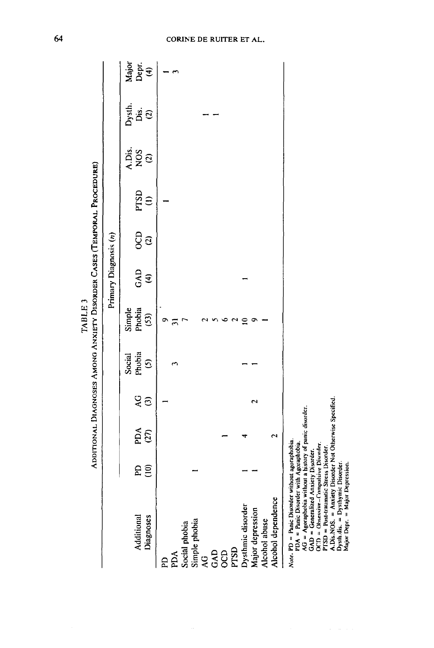|                                                                                                                                                                                                                                                                                                                                                                                                                 |                    |                    |                             |                             | Additional Diagnoses Among Anxiety Disorder Cases (Temporal Procedure)<br>TABLE <sub>3</sub> |                       |                                  |                       |                                       |                                  |                       |
|-----------------------------------------------------------------------------------------------------------------------------------------------------------------------------------------------------------------------------------------------------------------------------------------------------------------------------------------------------------------------------------------------------------------|--------------------|--------------------|-----------------------------|-----------------------------|----------------------------------------------------------------------------------------------|-----------------------|----------------------------------|-----------------------|---------------------------------------|----------------------------------|-----------------------|
|                                                                                                                                                                                                                                                                                                                                                                                                                 |                    |                    |                             |                             |                                                                                              | Primary Diagnosis (n) |                                  |                       |                                       |                                  |                       |
| Additional<br>Diagnoses                                                                                                                                                                                                                                                                                                                                                                                         | $\widehat{=}$<br>£ | PDA<br>(27)        | Q<br>$\widehat{\mathbf{c}}$ | Phobia<br>Social<br>$\odot$ | Simple<br>Phobia<br>(53)                                                                     | GAD<br>E              | <b>OCD</b><br>$\widehat{\infty}$ | PTSD<br>$\widehat{z}$ | A.Dis.<br><b>NOS</b><br>$\widehat{c}$ | Dysth.<br>Dis.<br>$\mathfrak{S}$ | Major<br>Depr.<br>(4) |
| E                                                                                                                                                                                                                                                                                                                                                                                                               |                    |                    |                             |                             |                                                                                              |                       |                                  |                       |                                       |                                  |                       |
| ACI                                                                                                                                                                                                                                                                                                                                                                                                             |                    |                    |                             |                             | ≂                                                                                            |                       |                                  |                       |                                       |                                  |                       |
| Social phobia                                                                                                                                                                                                                                                                                                                                                                                                   |                    |                    |                             |                             |                                                                                              |                       |                                  |                       |                                       |                                  |                       |
| Simple phobia                                                                                                                                                                                                                                                                                                                                                                                                   |                    |                    |                             |                             |                                                                                              |                       |                                  |                       |                                       |                                  |                       |
|                                                                                                                                                                                                                                                                                                                                                                                                                 |                    |                    |                             |                             |                                                                                              |                       |                                  |                       |                                       |                                  |                       |
|                                                                                                                                                                                                                                                                                                                                                                                                                 |                    |                    |                             |                             |                                                                                              |                       |                                  |                       |                                       |                                  |                       |
|                                                                                                                                                                                                                                                                                                                                                                                                                 |                    |                    |                             |                             |                                                                                              |                       |                                  |                       |                                       |                                  |                       |
| 2300                                                                                                                                                                                                                                                                                                                                                                                                            |                    |                    |                             |                             |                                                                                              |                       |                                  |                       |                                       |                                  |                       |
| Dysthmic disorder                                                                                                                                                                                                                                                                                                                                                                                               |                    |                    |                             |                             |                                                                                              |                       |                                  |                       |                                       |                                  |                       |
| Major depression                                                                                                                                                                                                                                                                                                                                                                                                |                    |                    | N                           |                             |                                                                                              |                       |                                  |                       |                                       |                                  |                       |
| Alcohol abuse                                                                                                                                                                                                                                                                                                                                                                                                   |                    |                    |                             |                             |                                                                                              |                       |                                  |                       |                                       |                                  |                       |
| Alcohol dependence                                                                                                                                                                                                                                                                                                                                                                                              |                    | $\mathbf{\hat{z}}$ |                             |                             |                                                                                              |                       |                                  |                       |                                       |                                  |                       |
| A.Dis.NOS. = Anxiety Disorder Not Otherwise Specified.<br>$AG = A$ goraphobia without a history of panic disorder.<br>$Note. PD = Panic Disorder without agoraphobia.$<br>PDA = Panic Disorder with Agoraphobia.<br>OCD = Obsessive-Compulsive Disorder.<br>PISD = Post-traumatic Stress Disorder.<br>GAD = Generalized Anxiety Disorder.<br>Dysth.dis. = Dysthymic Disorder.<br>Major Depr. = Major Depression |                    |                    |                             |                             |                                                                                              |                       |                                  |                       |                                       |                                  |                       |

 $64$ 

#### CORINE DE RUITER ET AL.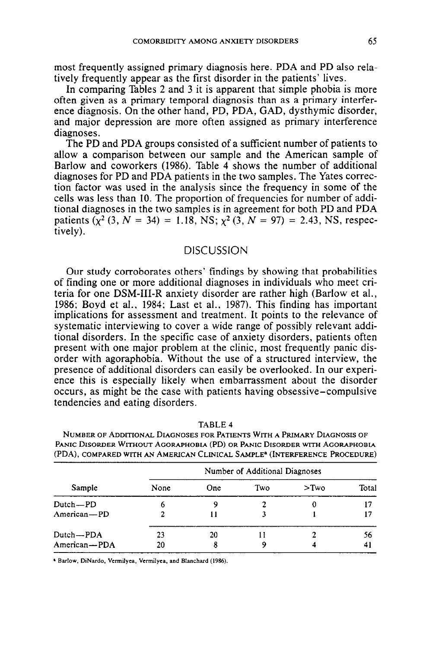most frequently assigned primary diagnosis here. PDA and PD also relatively frequently appear as the first disorder in the patients' lives.

In comparing Tables 2 and 3 it is apparent that simple phobia is more often given as a primary temporal diagnosis than as a primary interference diagnosis. On the other hand, PD, PDA, GAD, dysthymic disorder, and major depression are more often assigned as primary interference diagnoses.

The PD and PDA groups consisted of a sufficient number of patients to allow a comparison between our sample and the American sample of Barlow and coworkers (1986). Table 4 shows the number of additional diagnoses for PD and PDA patients in the two samples. The Yates correction factor was used in the analysis since the frequency in some of the cells was less than 10. The proportion of frequencies for number of additional diagnoses in the two samples is in agreement for both PD and PDA patients  $(x^2 (3, N = 34) = 1.18$ , NS;  $x^2 (3, N = 97) = 2.43$ , NS, respectively).

### DISCUSSION

Our study corroborates others' findings by showing that probabilities of finding one or more additional diagnoses in individuals who meet criteria for one DSM-III-R anxiety disorder are rather high (Barlow et al., 1986; Boyd et al., 1984; Last et al., 1987). This finding has important implications for assessment and treatment. It points to the relevance of systematic interviewing to cover a wide range of possibly relevant additional disorders. In the specific case of anxiety disorders, patients often present with one major problem at the clinic, most frequently panic disorder with agoraphobia. Without the use of a structured interview, the presence of additional disorders can easily be overlooked. In our experience this is especially likely when embarrassment about the disorder occurs, as might be the case with patients having obsessive-compulsive tendencies and eating disorders.

|              |      |      | Number of Additional Diagnoses |         |       |
|--------------|------|------|--------------------------------|---------|-------|
| Sample       | None | One. | Two                            | $>$ Two | Total |
| Dutch-PD     |      |      |                                |         |       |
| American-PD  |      |      |                                |         |       |
| Dutch-PDA    | 23   | 20   |                                |         | 56    |
| American-PDA | 20   |      |                                |         | 41    |

TABLE 4 **NUMBER OF ADDITIONAL DIAGNOSES FOR PATIENTS WITH A PRIMARY DIAGNOSIS OF** PANIC DISORDER WITHOUT AGORAPHOBIA (PD) OR PANIC DISORDER WITH AGORAPHOBIA

(PDA), COMPARED WITH AN AMERICAN CLINICAL SAMPLE<sup>®</sup> (INTERFERENCE PROCEDURE)

l **Barlow. DiNardo. Vermilyea. Vemilyea. and Blanchard (1986).**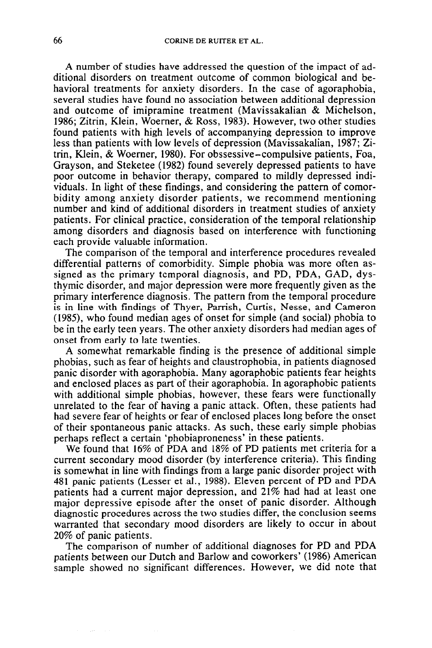A number of studies have addressed the question of the impact of additional disorders on treatment outcome of common biological and behavioral treatments for anxiety disorders. In the case of agoraphobia, several studies have found no association between additional depression and outcome of imipramine treatment (Mavissakalian & Michelson, 1986; Zitrin, Klein, Woemer, & Ross, 1983). However, two other studies found patients with high levels of accompanying depression to improve less than patients with low levels of depression (Mavissakalian, 1987; Zitrin, Klein, & Woemer, 1980). For obssessive-compulsive patients, Foa, Grayson, and Steketee (1982) found severely depressed patients to have poor outcome in behavior therapy, compared to mildly depressed individuals. In light of these findings, and considering the pattern of comorbidity among anxiety disorder patients, we recommend mentioning number and kind of additional disorders in treatment studies of anxiety patients. For clinical practice, consideration of the temporal relationship among disorders and diagnosis based on interference with functioning each provide valuable information.

The comparison of the temporal and interference procedures revealed differential patterns of comorbidity. Simple phobia was more often assigned as the primary temporal diagnosis, and PD, PDA, GAD, dysthymic disorder, and major depression were more frequently given as the primary interference diagnosis. The pattern from the temporal procedure is in line with findings of Thyer, Parrish, Curtis, Nesse, and Cameron (1985), who found median ages of onset for simple (and social) phobia to be in the early teen years. The other anxiety disorders had median ages of onset from early to late twenties.

A somewhat remarkable finding is the presence of additional simple phobias, such as fear of heights and claustrophobia, in patients diagnosed panic disorder with agoraphobia. Many agoraphobic patients fear heights and enclosed places as part of their agoraphobia. In agoraphobic patients with additional simple phobias, however, these fears were functionally unrelated to the fear of having a panic attack. Often, these patients had had severe fear of heights or fear of enclosed places long before the onset of their spontaneous panic attacks. As such, these early simple phobias perhaps reflect a certain 'phobiaproneness' in these patients.

We found that 16% of PDA and 18% of PD patients met criteria for a current secondary mood disorder (by interference criteria). This finding is somewhat in line with findings from a large panic disorder project with 481 panic patients (Lesser et al., 1988). Eleven percent of PD and PDA patients had a current major depression, and 21% had had at least one major depressive episode after the onset of panic disorder. Although diagnostic procedures across the two studies differ, the conclusion seems warranted that secondary mood disorders are likely to occur in about 20% of panic patients.

The comparison of number of additional diagnoses for PD and PDA patients between our Dutch and Barlow and coworkers' (1986) American sample showed no significant differences. However, we did note that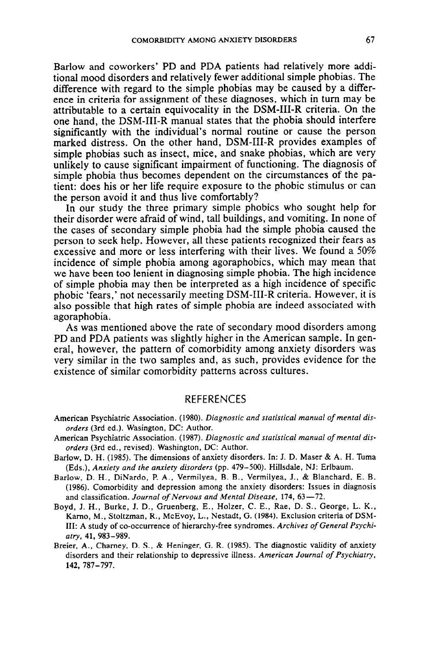Barlow and coworkers' PD and PDA patients had relatively more additional mood disorders and relatively fewer additional simple phobias. The difference with regard to the simple phobias may be caused by a difference in criteria for assignment of these diagnoses, which in turn may be attributable to a certain equivocality in the DSM-III-R criteria. On the one hand, the DSM-III-R manual states that the phobia should interfere significantly with the individual's normal routine or cause the person marked distress. On the other hand, DSM-III-R provides examples of simple phobias such as insect, mice, and snake phobias, which are very unlikely to cause significant impairment of functioning. The diagnosis of simple phobia thus becomes dependent on the circumstances of the patient: does his or her life require exposure to the phobic stimulus or can the person avoid it and thus live comfortably?

In our study the three primary simple phobics who sought help for their disorder were afraid of wind, tall buildings, and vomiting. In none of the cases of secondary simple phobia had the simple phobia caused the person to seek help. However, all these patients recognized their fears as excessive and more or less interfering with their lives. We found a 50% incidence of simple phobia among agoraphobics, which may mean that we have been too lenient in diagnosing simple phobia. The high incidence of simple phobia may then be interpreted as a high incidence of specific phobic 'fears,' not necessarily meeting DSM-III-R criteria. However, it is also possible that high rates of simple phobia are indeed associated with agoraphobia.

As was mentioned above the rate of secondary mood disorders among PD and PDA patients was slightly higher in the American sample. In general, however, the pattern of comorbidity among anxiety disorders was very similar in the two samples and, as such, provides evidence for the existence of similar comorbidity patterns across cultures.

#### REFERENCES

- American Psychiatric Association. (1980). *Diagnoslic and statistical manual of mental disorders* (3rd ed.). Wasington, DC: Author.
- American Psychiatric Association. (1987). *Diagnostic and statistical manual of mental disorders* (3rd ed., revised). Washington, DC: Author.
- Barlow, D. H. (1985). The dimensions of anxiety disorders. In: J. D. Maser & A. H. Tuma (Eds.), *Anxiety and the anxiety disorders* (pp. *479-500).* Hillsdale, NJ: Erlbaum.
- Barlow, D. H., DiNardo, P. A., Vermilyea, B. B.. Vermilyea, J., & Blanchard, E. B. (1986). Comorbidity and depression among the anxiety disorders: Issues in diagnosis and classification. Journal *of Nervous and Mental Disease, 174, 63-72.*
- Boyd, J. H., Burke, J. D., Gruenberg, E., Holzer, C. E., Rae, D. S., George, L. K., Kamo, M., Stoltzman, R., McEvoy, L., Nestadt, G. (1984). Exclusion criteria of DSM-III: A study of co-occurrence of hierarchy-free syndromes. *Archives of General Psychiatry, 41, 983-989.*
- Breier, A., Chamey, D. S., & Heninger, G. R. (1985). The diagnostic validity of anxiety disorders and their relationship to depressive illness. *American Journal of Psychiatry, 142, 787-797.*